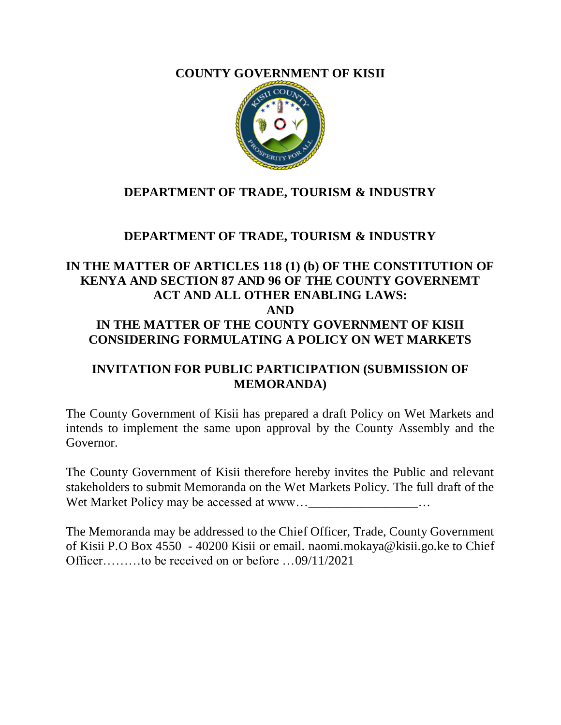#### **COUNTY GOVERNMENT OF KISII**



## **DEPARTMENT OF TRADE, TOURISM & INDUSTRY**

## **DEPARTMENT OF TRADE, TOURISM & INDUSTRY**

# **IN THE MATTER OF ARTICLES 118 (1) (b) OF THE CONSTITUTION OF KENYA AND SECTION 87 AND 96 OF THE COUNTY GOVERNEMT ACT AND ALL OTHER ENABLING LAWS: AND IN THE MATTER OF THE COUNTY GOVERNMENT OF KISII CONSIDERING FORMULATING A POLICY ON WET MARKETS**

### **INVITATION FOR PUBLIC PARTICIPATION (SUBMISSION OF MEMORANDA)**

The County Government of Kisii has prepared a draft Policy on Wet Markets and intends to implement the same upon approval by the County Assembly and the Governor.

The County Government of Kisii therefore hereby invites the Public and relevant stakeholders to submit Memoranda on the Wet Markets Policy. The full draft of the Wet Market Policy may be accessed at www...\_\_\_\_\_\_\_\_\_\_\_\_\_\_\_\_\_\_...

The Memoranda may be addressed to the Chief Officer, Trade, County Government of Kisii P.O Box 4550 - 40200 Kisii or email. naomi.mokaya@kisii.go.ke to Chief Officer………to be received on or before …09/11/2021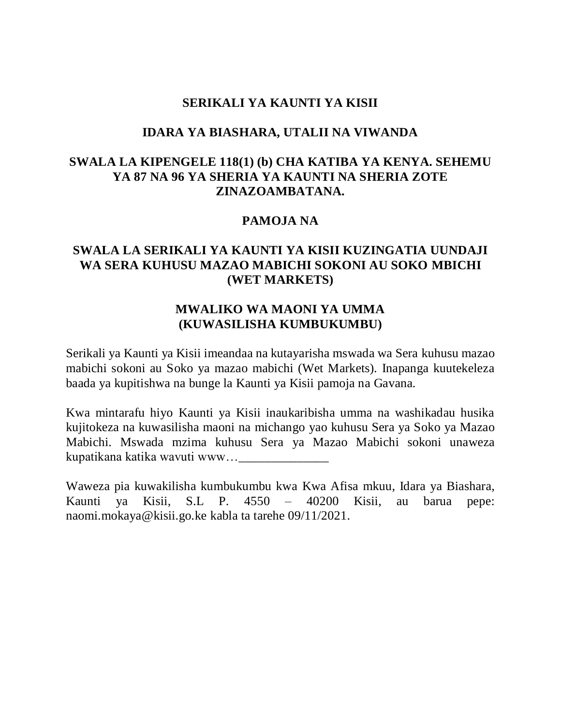#### **SERIKALI YA KAUNTI YA KISII**

#### **IDARA YA BIASHARA, UTALII NA VIWANDA**

# **SWALA LA KIPENGELE 118(1) (b) CHA KATIBA YA KENYA. SEHEMU YA 87 NA 96 YA SHERIA YA KAUNTI NA SHERIA ZOTE ZINAZOAMBATANA.**

#### **PAMOJA NA**

## **SWALA LA SERIKALI YA KAUNTI YA KISII KUZINGATIA UUNDAJI WA SERA KUHUSU MAZAO MABICHI SOKONI AU SOKO MBICHI (WET MARKETS)**

#### **MWALIKO WA MAONI YA UMMA (KUWASILISHA KUMBUKUMBU)**

Serikali ya Kaunti ya Kisii imeandaa na kutayarisha mswada wa Sera kuhusu mazao mabichi sokoni au Soko ya mazao mabichi (Wet Markets). Inapanga kuutekeleza baada ya kupitishwa na bunge la Kaunti ya Kisii pamoja na Gavana.

Kwa mintarafu hiyo Kaunti ya Kisii inaukaribisha umma na washikadau husika kujitokeza na kuwasilisha maoni na michango yao kuhusu Sera ya Soko ya Mazao Mabichi. Mswada mzima kuhusu Sera ya Mazao Mabichi sokoni unaweza kupatikana katika wavuti www…\_\_\_\_\_\_\_\_\_\_\_\_\_\_

Waweza pia kuwakilisha kumbukumbu kwa Kwa Afisa mkuu, Idara ya Biashara, Kaunti ya Kisii, S.L P. 4550 – 40200 Kisii, au barua pepe: naomi.mokaya@kisii.go.ke kabla ta tarehe 09/11/2021.